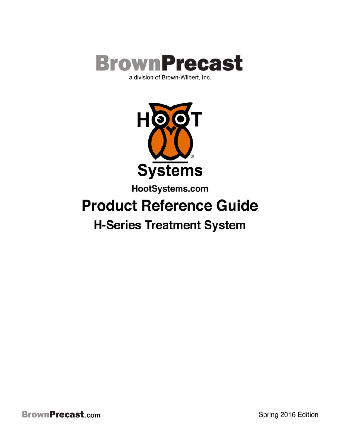

**HOOT Systems** 

HootSystems.com

# **Product Reference Guide**

# **H-Series Treatment System**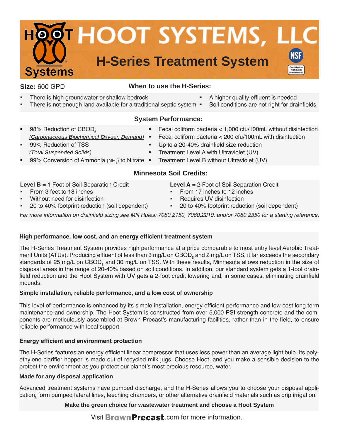

#### **Size:** 600 GPD

#### **When to use the H-Series:**

- There is high groundwater or shallow bedrock
- There is not enough land available for a traditional septic system  $\blacksquare$

# **System Performance:**

- 98% Reduction of  $\text{CBOD}_5$  *(Carbonaceous Biochemical Oxygen Demand)* 99% Reduction of TSS
- *(Total Suspended Solids)*
- 99% Conversion of Ammonia (NH<sub>3</sub>) to Nitrate
- Fecal coliform bacteria  $<$  1,000 cfu/100mL without disinfection

A higher quality effluent is needed

Soil conditions are not right for drainfields

- Fecal coliform bacteria  $<$  200 cfu/100mL with disinfection
- Up to a 20-40% drainfield size reduction
	- Treatment Level A with Ultraviolet (UV)
	- Treatment Level B without Ultraviolet (UV)

# **Minnesota Soil Credits:**

**Level B** = 1 Foot of Soil Separation Credit

- From 3 feet to 18 inches
- Without need for disinfection
- 20 to 40% footprint reduction (soil dependent)
- **Level A** = 2 Foot of Soil Separation Credit
- From 17 inches to 12 inches
- Requires UV disinfection
- 20 to 40% footprint reduction (soil dependent)

For more information on drainfield sizing see MN Rules: 7080.2150, 7080.2210, and/or 7080.2350 for a starting reference.

#### **High performance, low cost, and an energy efficient treatment system**

The H-Series Treatment System provides high performance at a price comparable to most entry level Aerobic Treatment Units (ATUs). Producing effluent of less than 3 mg/L on CBOD<sub>5</sub> and 2 mg/L on TSS, it far exceeds the secondary standards of 25 mg/L on CBOD<sub>5</sub> and 30 mg/L on TSS. With these results, Minnesota allows reduction in the size of disposal areas in the range of 20-40% based on soil conditions. In addition, our standard system gets a 1-foot drainfield reduction and the Hoot System with UV gets a 2-foot credit lowering and, in some cases, eliminating drainfield mounds.

#### **Simple installation, reliable performance, and a low cost of ownership**

This level of performance is enhanced by its simple installation, energy efficient performance and low cost long term maintenance and ownership. The Hoot System is constructed from over 5,000 PSI strength concrete and the components are meticulously assembled at Brown Precast's manufacturing facilities, rather than in the field, to ensure reliable performance with local support.

# **Energy efficient and environment protection**

The H-Series features an energy efficient linear compressor that uses less power than an average light bulb. Its polyethylene clarifier hopper is made out of recycled milk jugs. Choose Hoot, and you make a sensible decision to the protect the environment as you protect our planet's most precious resource, water.

#### **Made for any disposal application**

Advanced treatment systems have pumped discharge, and the H-Series allows you to choose your disposal application, form pumped lateral lines, leeching chambers, or other alternative drainfield materials such as drip irrigation.

# **Make the green choice for wastewater treatment and choose a Hoot System**

Visit **BrownPrecast**.com for more information.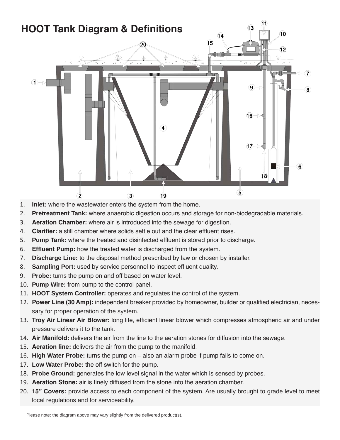

- 1. **Inlet:** where the wastewater enters the system from the home.
- 2. **Pretreatment Tank:** where anaerobic digestion occurs and storage for non-biodegradable materials.
- 3. **Aeration Chamber:** where air is introduced into the sewage for digestion.
- 4. **Clarifier:** a still chamber where solids settle out and the clear effluent rises.
- 5. **Pump Tank:** where the treated and disinfected effluent is stored prior to discharge.
- 6. **Effluent Pump:** how the treated water is discharged from the system.
- 7. **Discharge Line:** to the disposal method prescribed by law or chosen by installer.
- 8. **Sampling Port:** used by service personnel to inspect effluent quality.
- 9. **Probe:** turns the pump on and off based on water level.
- 10. **Pump Wire:** from pump to the control panel.
- 11. **HOOT System Controller:** operates and regulates the control of the system.
- 12. **Power Line (30 Amp):** independent breaker provided by homeowner, builder or qualified electrician, necessary for proper operation of the system.
- 13. **Troy Air Linear Air Blower:** long life, efficient linear blower which compresses atmospheric air and under pressure delivers it to the tank.
- 14. **Air Manifold:** delivers the air from the line to the aeration stones for diffusion into the sewage.
- 15. **Aeration line:** delivers the air from the pump to the manifold.
- 16. **High Water Probe:** turns the pump on also an alarm probe if pump fails to come on.
- 17. **Low Water Probe:** the off switch for the pump.
- 18. **Probe Ground:** generates the low level signal in the water which is sensed by probes.
- 19. **Aeration Stone:** air is finely diffused from the stone into the aeration chamber.
- 20. **15" Covers:** provide access to each component of the system. Are usually brought to grade level to meet local regulations and for serviceability.